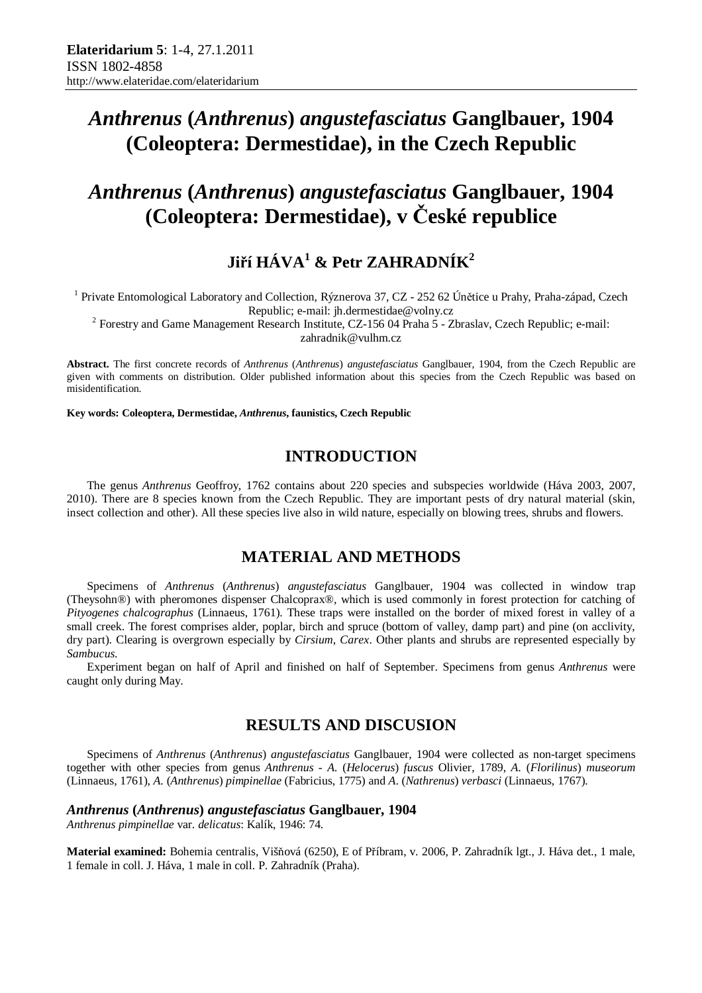# *Anthrenus* **(***Anthrenus***)** *angustefasciatus* **Ganglbauer, 1904 (Coleoptera: Dermestidae), in the Czech Republic**

# *Anthrenus* **(***Anthrenus***)** *angustefasciatus* **Ganglbauer, 1904 (Coleoptera: Dermestidae), v České republice**

## **Jiří HÁVA<sup>1</sup> & Petr ZAHRADNÍK<sup>2</sup>**

<sup>1</sup> Private Entomological Laboratory and Collection, Rýznerova 37, CZ - 252 62 Únětice u Prahy, Praha-západ, Czech Republic; e-mail: jh.dermestidae@volny.cz

<sup>2</sup> Forestry and Game Management Research Institute, CZ-156 04 Praha  $5$  - Zbraslav, Czech Republic; e-mail:

zahradnik@vulhm.cz

**Abstract.** The first concrete records of *Anthrenus* (*Anthrenus*) *angustefasciatus* Ganglbauer, 1904, from the Czech Republic are given with comments on distribution. Older published information about this species from the Czech Republic was based on misidentification.

**Key words: Coleoptera, Dermestidae,** *Anthrenus***, faunistics, Czech Republic** 

## **INTRODUCTION**

The genus *Anthrenus* Geoffroy, 1762 contains about 220 species and subspecies worldwide (Háva 2003, 2007, 2010). There are 8 species known from the Czech Republic. They are important pests of dry natural material (skin, insect collection and other). All these species live also in wild nature, especially on blowing trees, shrubs and flowers.

## **MATERIAL AND METHODS**

Specimens of *Anthrenus* (*Anthrenus*) *angustefasciatus* Ganglbauer, 1904 was collected in window trap (Theysohn®) with pheromones dispenser Chalcoprax®, which is used commonly in forest protection for catching of *Pityogenes chalcographus* (Linnaeus, 1761). These traps were installed on the border of mixed forest in valley of a small creek. The forest comprises alder, poplar, birch and spruce (bottom of valley, damp part) and pine (on acclivity, dry part). Clearing is overgrown especially by *Cirsium*, *Carex*. Other plants and shrubs are represented especially by *Sambucus*.

Experiment began on half of April and finished on half of September. Specimens from genus *Anthrenus* were caught only during May.

### **RESULTS AND DISCUSION**

Specimens of *Anthrenus* (*Anthrenus*) *angustefasciatus* Ganglbauer, 1904 were collected as non-target specimens together with other species from genus *Anthrenus* - *A.* (*Helocerus*) *fuscus* Olivier, 1789, *A*. (*Florilinus*) *museorum* (Linnaeus, 1761), *A*. (*Anthrenus*) *pimpinellae* (Fabricius, 1775) and *A*. (*Nathrenus*) *verbasci* (Linnaeus, 1767).

#### *Anthrenus* **(***Anthrenus***)** *angustefasciatus* **Ganglbauer, 1904**

*Anthrenus pimpinellae* var. *delicatus*: Kalík, 1946: 74.

**Material examined:** Bohemia centralis, Višňová (6250), E of Příbram, v. 2006, P. Zahradník lgt., J. Háva det., 1 male, 1 female in coll. J. Háva, 1 male in coll. P. Zahradník (Praha).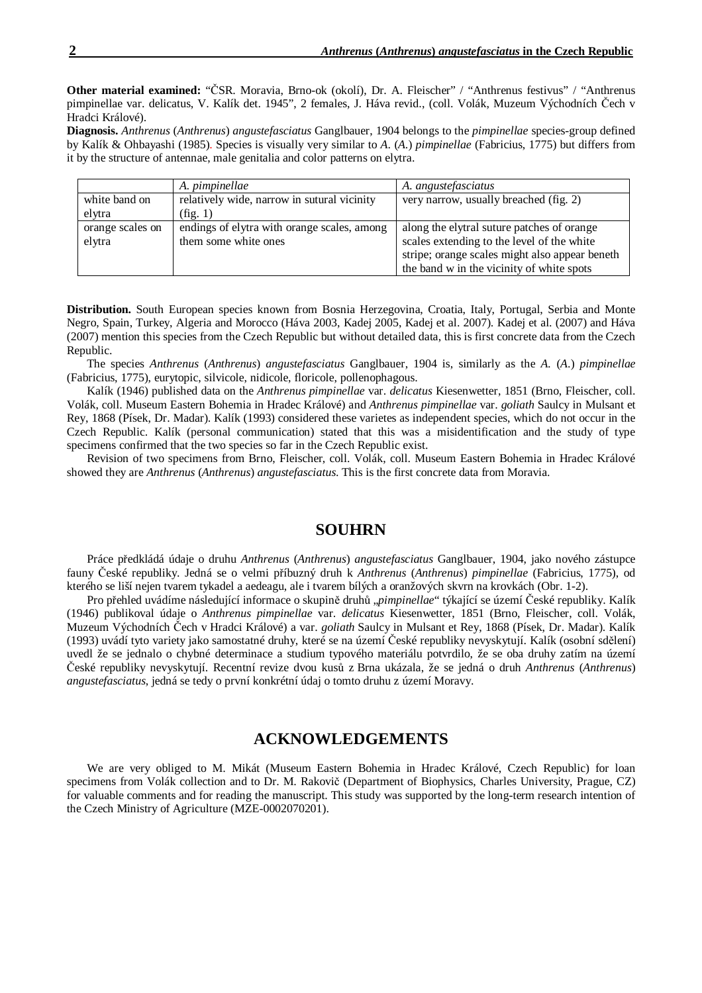**Other material examined:** "ČSR. Moravia, Brno-ok (okolí), Dr. A. Fleischer" / "Anthrenus festivus" / "Anthrenus pimpinellae var. delicatus, V. Kalík det. 1945", 2 females, J. Háva revid., (coll. Volák, Muzeum Východních Čech v Hradci Králové).

**Diagnosis.** *Anthrenus* (*Anthrenus*) *angustefasciatus* Ganglbauer, 1904 belongs to the *pimpinellae* species-group defined by Kalík & Ohbayashi (1985). Species is visually very similar to *A*. (*A*.) *pimpinellae* (Fabricius, 1775) but differs from it by the structure of antennae, male genitalia and color patterns on elytra.

|                  | A. pimpinellae                              | A. angustefasciatus                            |
|------------------|---------------------------------------------|------------------------------------------------|
| white band on    | relatively wide, narrow in sutural vicinity | very narrow, usually breached (fig. 2)         |
| elytra           | (fig. 1)                                    |                                                |
| orange scales on | endings of elytra with orange scales, among | along the elytral suture patches of orange     |
| elytra           | them some white ones                        | scales extending to the level of the white     |
|                  |                                             | stripe; orange scales might also appear beneth |
|                  |                                             | the band w in the vicinity of white spots      |

**Distribution.** South European species known from Bosnia Herzegovina, Croatia, Italy, Portugal, Serbia and Monte Negro, Spain, Turkey, Algeria and Morocco (Háva 2003, Kadej 2005, Kadej et al. 2007). Kadej et al. (2007) and Háva (2007) mention this species from the Czech Republic but without detailed data, this is first concrete data from the Czech Republic.

The species *Anthrenus* (*Anthrenus*) *angustefasciatus* Ganglbauer, 1904 is, similarly as the *A.* (*A*.) *pimpinellae* (Fabricius, 1775), eurytopic, silvicole, nidicole, floricole, pollenophagous.

Kalík (1946) published data on the *Anthrenus pimpinellae* var. *delicatus* Kiesenwetter, 1851 (Brno, Fleischer, coll. Volák, coll. Museum Eastern Bohemia in Hradec Králové) and *Anthrenus pimpinellae* var. *goliath* Saulcy in Mulsant et Rey, 1868 (Písek, Dr. Madar). Kalík (1993) considered these varietes as independent species, which do not occur in the Czech Republic. Kalík (personal communication) stated that this was a misidentification and the study of type specimens confirmed that the two species so far in the Czech Republic exist.

Revision of two specimens from Brno, Fleischer, coll. Volák, coll. Museum Eastern Bohemia in Hradec Králové showed they are *Anthrenus* (*Anthrenus*) *angustefasciatus*. This is the first concrete data from Moravia.

#### **SOUHRN**

Práce předkládá údaje o druhu *Anthrenus* (*Anthrenus*) *angustefasciatus* Ganglbauer, 1904, jako nového zástupce fauny České republiky. Jedná se o velmi příbuzný druh k *Anthrenus* (*Anthrenus*) *pimpinellae* (Fabricius, 1775), od kterého se liší nejen tvarem tykadel a aedeagu, ale i tvarem bílých a oranžových skvrn na krovkách (Obr. 1-2).

Pro přehled uvádíme následující informace o skupině druhů "pimpinellae" týkající se území České republiky. Kalík (1946) publikoval údaje o *Anthrenus pimpinellae* var. *delicatus* Kiesenwetter, 1851 (Brno, Fleischer, coll. Volák, Muzeum Východních Čech v Hradci Králové) a var. *goliath* Saulcy in Mulsant et Rey, 1868 (Písek, Dr. Madar). Kalík (1993) uvádí tyto variety jako samostatné druhy, které se na území České republiky nevyskytují. Kalík (osobní sdělení) uvedl že se jednalo o chybné determinace a studium typového materiálu potvrdilo, že se oba druhy zatím na území České republiky nevyskytují. Recentní revize dvou kusů z Brna ukázala, že se jedná o druh *Anthrenus* (*Anthrenus*) *angustefasciatus*, jedná se tedy o první konkrétní údaj o tomto druhu z území Moravy.

#### **ACKNOWLEDGEMENTS**

We are very obliged to M. Mikát (Museum Eastern Bohemia in Hradec Králové, Czech Republic) for loan specimens from Volák collection and to Dr. M. Rakovič (Department of Biophysics, Charles University, Prague, CZ) for valuable comments and for reading the manuscript. This study was supported by the long-term research intention of the Czech Ministry of Agriculture (MZE-0002070201).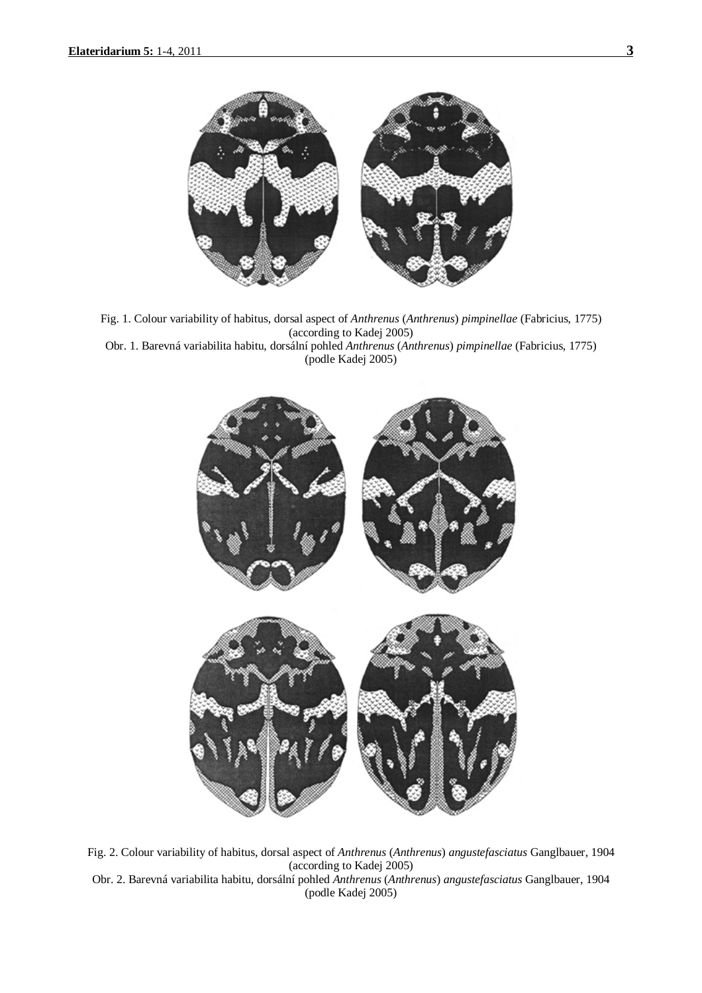

Fig. 1. Colour variability of habitus, dorsal aspect of *Anthrenus* (*Anthrenus*) *pimpinellae* (Fabricius, 1775) (according to Kadej 2005) Obr. 1. Barevná variabilita habitu, dorsální pohled *Anthrenus* (*Anthrenus*) *pimpinellae* (Fabricius, 1775)





Fig. 2. Colour variability of habitus, dorsal aspect of *Anthrenus* (*Anthrenus*) *angustefasciatus* Ganglbauer, 1904 (according to Kadej 2005) Obr. 2. Barevná variabilita habitu, dorsální pohled *Anthrenus* (*Anthrenus*) *angustefasciatus* Ganglbauer, 1904

(podle Kadej 2005)